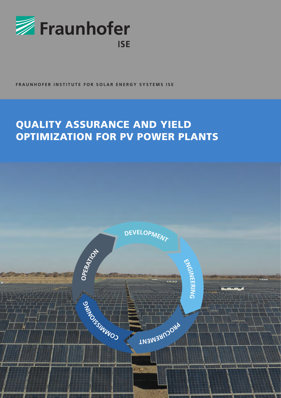

**FRAUNHOFER INSTITUTE FOR SOLAR ENERGY SYSTEMS ISE**

# QUALITY ASSURANCE AND YIELD OPTIMIZATION FOR PV POWER PLANTS

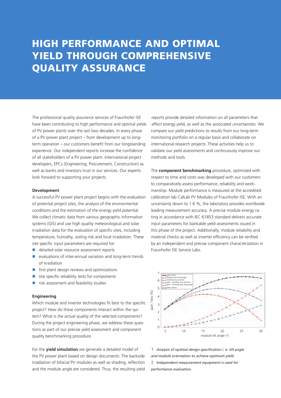## HIGH PERFORMANCE AND OPTIMAL YIELD THROUGH COMPREHENSIVE QUALITY ASSURANCE

The professional quality assurance services of Fraunhofer ISE have been contributing to high performance and optimal yields of PV power plants over the last two decades. In every phase of a PV power plant project – from development up to longterm operation – our customers benefit from our longstanding experience. Our independent reports increase the confidence of all stakeholders of a PV power plant. International project developers, EPCs (Engineering, Procurement, Construction) as well as banks and investors trust in our services. Our experts look forward to supporting your projects.

#### **Development**

A successful PV power plant project begins with the evaluation of potential project sites, the analysis of the environmental conditions and the estimation of the energy yield potential. We collect climatic data from various geographic information systems (GIS) and use high quality meteorological and solar irradiation data for the evaluation of specific sites, including temperature, humidity, soiling risk and local irradiation. These site specific input parameters are required for:

- $\blacksquare$  detailed solar resource assessment reports
- $\blacksquare$  evaluations of inter-annual variation and long-term trends of irradiation
- $\blacksquare$  first plant design reviews and optimizations
- site specific reliability tests for components
- $\blacksquare$  risk assessment and feasibility studies

## **Engineering**

Which module and inverter technologies fit best to the specific project? How do these components interact within the system? What is the actual quality of the selected components? During the project engineering phase, we address these questions as part of our precise yield assessment and component quality benchmarking procedure.

For the **yield simulation** we generate a detailed model of the PV power plant based on design documents. The backside irradiation of bifacial PV modules as well as shading, reflection and the module angle are considered. Thus, the resulting yield

reports provide detailed information on all parameters that affect energy yield, as well as the associated uncertainties. We compare our yield predictions to results from our long-term monitoring portfolio on a regular basis and collaborate on international research projects. These activities help us to validate our yield assessments and continuously improve our methods and tools.

The **component benchmarking** procedure, optimized with respect to time and costs was developed with our customers to comparatively assess performance, reliability and workmanship. Module performance is measured at the accredited calibration lab CalLab PV Modules of Fraunhofer ISE. With an uncertainty down to 1.6 %, the laboratory provides worldwide leading measurement accuracy. A precise module energy rating in accordance with IEC 61853 standard delivers accurate input parameters for bankable yield assessments issued in this phase of the project. Additionally, module reliability and material checks as well as inverter efficiency can be verified by an independent and precise component characterization in Fraunhofer ISE Service Labs.



**1** *Analysis of optimal design specification i. e. tilt angle and module orientation to achieve optimum yield.* **2** *Independent measurement equipment is used for performance evaluation.*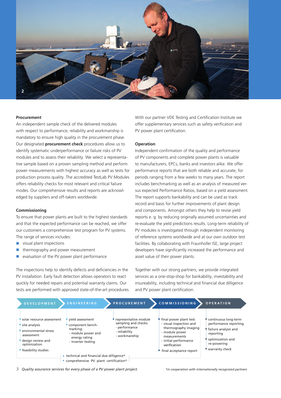

#### **Procurement**

An independent sample check of the delivered modules with respect to performance, reliability and workmanship is mandatory to ensure high quality in the procurement phase. Our designated **procurement check** procedures allow us to identify systematic underperformance or failure risks of PV modules and to assess their reliability. We select a representative sample based on a proven sampling method and perform power measurements with highest accuracy as well as tests for production process quality. The accredited TestLab PV Modules offers reliability checks for most relevant and critical failure modes. Our comprehensive results and reports are acknowledged by suppliers and off-takers worldwide.

#### **Commissioning**

To ensure that power plants are built to the highest standards and that the expected performance can be reached, we offer our customers a comprehensive test program for PV systems. The range of services includes:

- $\blacksquare$  visual plant inspections
- $\blacksquare$  thermography and power measurement
- evaluation of the PV power plant performance

The inspections help to identify defects and deficiencies in the PV installation. Early fault detection allows operators to react quickly for needed repairs and potential warranty claims. Our tests are performed with approved state-of-the-art procedures. With our partner VDE Testing and Certification Institute we offer supplementary services such as safety verification and PV power plant certification.

#### **Operation**

Independent confirmation of the quality and performance of PV components and complete power plants is valuable to manufacturers, EPCs, banks and investors alike. We offer performance reports that are both reliable and accurate, for periods ranging from a few weeks to many years. The report includes benchmarking as well as an analysis of measured versus expected Performance Ratios, based on a yield assessment. The report supports bankability and can be used as track record and basis for further improvements of plant design and components. Amongst others they help to revise yield reports e. g. by reducing originally assumed uncertainties and re-evaluate the yield predictions results. Long-term reliability of PV modules is investigated through independent monitoring of reference systems worldwide and at our own outdoor test facilities. By collaborating with Fraunhofer ISE, large project developers have significantly increased the performance and asset value of their power plants.

Together with our strong partners, we provide integrated services as a one-stop-shop for bankability, investability and insureability, including technical and financial due dilligence and PV power plant certification.



**3** *Quality assurance services for every phase of a PV power plant project. \*in cooperation with internationally recognized partners*